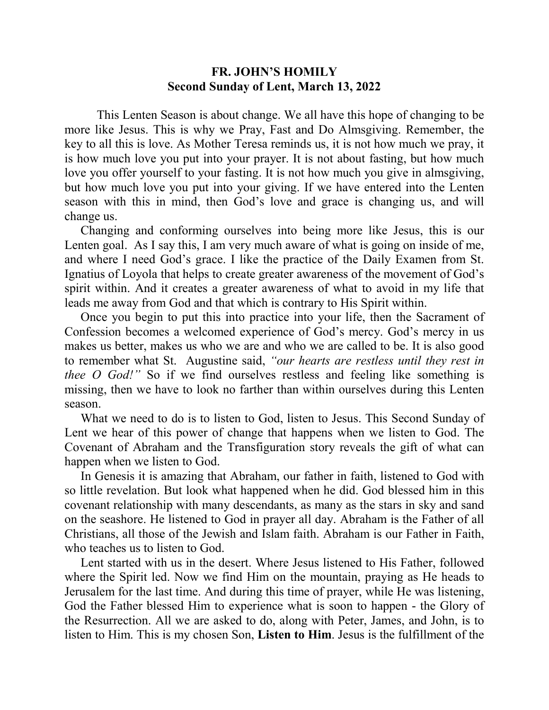## **FR. JOHN'S HOMILY Second Sunday of Lent, March 13, 2022**

 This Lenten Season is about change. We all have this hope of changing to be more like Jesus. This is why we Pray, Fast and Do Almsgiving. Remember, the key to all this is love. As Mother Teresa reminds us, it is not how much we pray, it is how much love you put into your prayer. It is not about fasting, but how much love you offer yourself to your fasting. It is not how much you give in almsgiving, but how much love you put into your giving. If we have entered into the Lenten season with this in mind, then God's love and grace is changing us, and will change us.

 Changing and conforming ourselves into being more like Jesus, this is our Lenten goal. As I say this, I am very much aware of what is going on inside of me, and where I need God's grace. I like the practice of the Daily Examen from St. Ignatius of Loyola that helps to create greater awareness of the movement of God's spirit within. And it creates a greater awareness of what to avoid in my life that leads me away from God and that which is contrary to His Spirit within.

 Once you begin to put this into practice into your life, then the Sacrament of Confession becomes a welcomed experience of God's mercy. God's mercy in us makes us better, makes us who we are and who we are called to be. It is also good to remember what St. Augustine said, *"our hearts are restless until they rest in thee O God!"* So if we find ourselves restless and feeling like something is missing, then we have to look no farther than within ourselves during this Lenten season.

 What we need to do is to listen to God, listen to Jesus. This Second Sunday of Lent we hear of this power of change that happens when we listen to God. The Covenant of Abraham and the Transfiguration story reveals the gift of what can happen when we listen to God.

 In Genesis it is amazing that Abraham, our father in faith, listened to God with so little revelation. But look what happened when he did. God blessed him in this covenant relationship with many descendants, as many as the stars in sky and sand on the seashore. He listened to God in prayer all day. Abraham is the Father of all Christians, all those of the Jewish and Islam faith. Abraham is our Father in Faith, who teaches us to listen to God.

 Lent started with us in the desert. Where Jesus listened to His Father, followed where the Spirit led. Now we find Him on the mountain, praying as He heads to Jerusalem for the last time. And during this time of prayer, while He was listening, God the Father blessed Him to experience what is soon to happen - the Glory of the Resurrection. All we are asked to do, along with Peter, James, and John, is to listen to Him. This is my chosen Son, **Listen to Him**. Jesus is the fulfillment of the